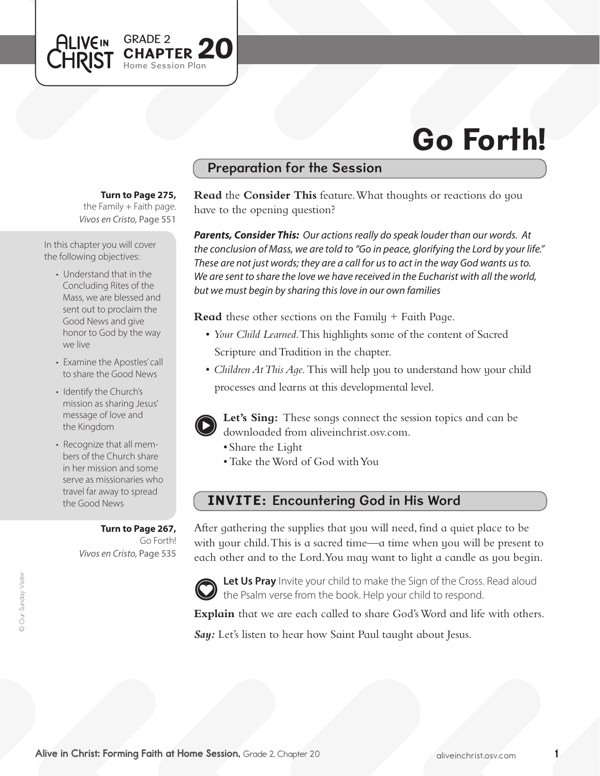

## Preparation for the Session

**Turn to Page 275,** 

GRADE 2

Session Plan

PTER  $20$ 

the Family  $+$  Faith page. *Vivos en Cristo,* Page 551

In this chapter you will cover the following objectives:

**ALIVEIN LHRIST** 

- Understand that in the Concluding Rites of the Mass, we are blessed and sent out to proclaim the Good News and give honor to God by the way we live
- Examine the Apostles' call to share the Good News
- Identify the Church's mission as sharing Jesus' message of love and the Kingdom
- Recognize that all members of the Church share in her mission and some serve as missionaries who travel far away to spread the Good News

**Turn to Page 267,** Go Forth! *Vivos en Cristo,* Page 535 **Read** the **Consider This** feature. What thoughts or reactions do you have to the opening question?

*Parents, Consider This: Our actions really do speak louder than our words. At the conclusion of Mass, we are told to "Go in peace, glorifying the Lord by your life." These are not just words; they are a call for us to act in the way God wants us to. We are sent to share the love we have received in the Eucharist with all the world, but we must begin by sharing this love in our own families* 

**Read** these other sections on the Family + Faith Page.

- • *Your Child Learned*. This highlights some of the content of Sacred Scripture and Tradition in the chapter.
- *Children At This Age*. This will help you to understand how your child processes and learns at this developmental level.



**Let's Sing:** These songs connect the session topics and can be downloaded from aliveinchrist.osv.com.

- Share the Light
- Take the Word of God with You

# INVITE: Encountering God in His Word

After gathering the supplies that you will need, find a quiet place to be with your child. This is a sacred time—a time when you will be present to each other and to the Lord.You may want to light a candle as you begin.



Let Us Pray Invite your child to make the Sign of the Cross. Read aloud the Psalm verse from the book. Help your child to respond.

Explain that we are each called to share God's Word and life with others.

*Say:* Let's listen to hear how Saint Paul taught about Jesus.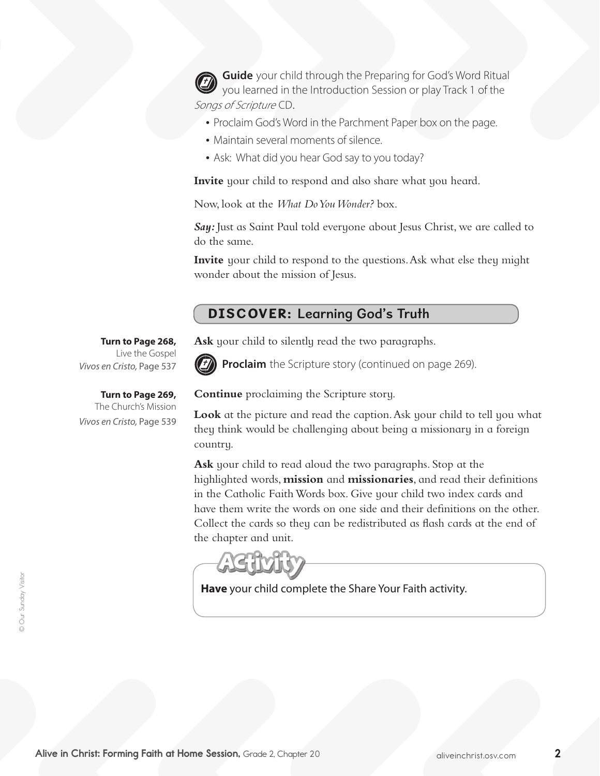**Guide** your child through the Preparing for God's Word Ritual you learned in the Introduction Session or play Track 1 of the Songs of Scripture CD.

- Proclaim God's Word in the Parchment Paper box on the page.
- Maintain several moments of silence.
- Ask: What did you hear God say to you today?

**Invite** your child to respond and also share what you heard.

Now, look at the *What Do You Wonder?* box.

**Say:** Just as Saint Paul told everyone about Jesus Christ, we are called to do the same.

**Invite** your child to respond to the questions.Ask what else they might wonder about the mission of Jesus.

### DISCOVER: Learning God's Truth

**Ask** your child to silently read the two paragraphs.



**Proclaim** the Scripture story (continued on page 269).

**Continue** proclaiming the Scripture story.

Look at the picture and read the caption. Ask your child to tell you what they think would be challenging about being a missionary in a foreign country.

**Ask** your child to read aloud the two paragraphs. Stop at the highlighted words, **mission** and **missionaries**, and read their definitions in the Catholic FaithWords box. Give your child two index cards and have them write the words on one side and their definitions on the other. Collect the cards so they can be redistributed as flash cards at the end of the chapter and unit.

**Have** your child complete the Share Your Faith activity.

**Turn to Page 268,** Live the Gospel *Vivos en Cristo,* Page 537

**Turn to Page 269,**  The Church's Mission *Vivos en Cristo,* Page 539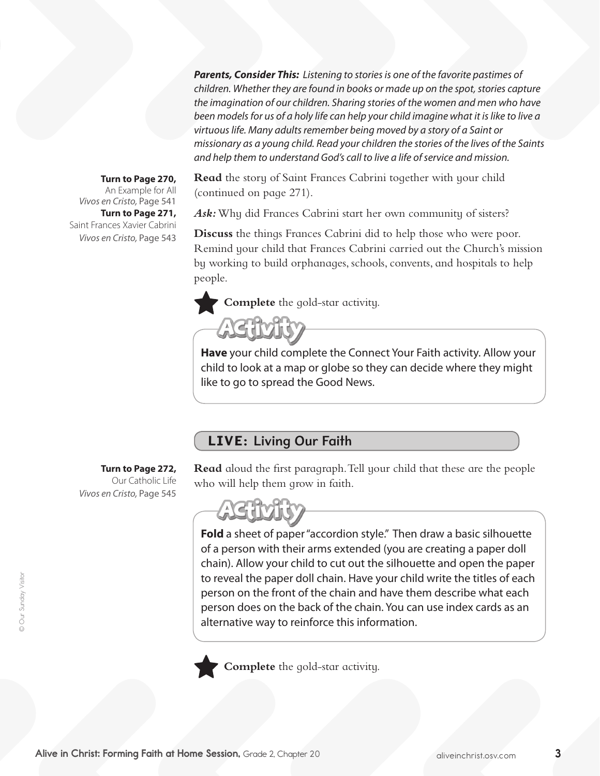*Parents, Consider This: Listening to stories is one of the favorite pastimes of children. Whether they are found in books or made up on the spot, stories capture the imagination of our children. Sharing stories of the women and men who have been models for us of a holy life can help your child imagine what it is like to live a virtuous life. Many adults remember being moved by a story of a Saint or missionary as a young child. Read your children the stories of the lives of the Saints and help them to understand God's call to live a life of service and mission.* 

### **Turn to Page 270,**

**Turn to Page 271,** Saint Frances Xavier Cabrini An Example for All *Vivos en Cristo,* Page 541 *Vivos en Cristo,* Page 543

**Read** the story of Saint Frances Cabrini together with your child (continued on page 271).

*Ask:*Why did Frances Cabrini start her own community of sisters?

**Discuss** the things Frances Cabrini did to help those who were poor. Remind your child that Frances Cabrini carried out the Church's mission by working to build orphanages, schools, convents, and hospitals to help people.

**Complete** the gold-star activity.



**Have** your child complete the Connect Your Faith activity. Allow your child to look at a map or globe so they can decide where they might like to go to spread the Good News.

# LIVE: Living Our Faith

**Turn to Page 272,**  Our Catholic Life *Vivos en Cristo,* Page 545

**Read** aloud the first paragraph. Tell your child that these are the people who will help them grow in faith.



**Fold** a sheet of paper "accordion style." Then draw a basic silhouette of a person with their arms extended (you are creating a paper doll chain). Allow your child to cut out the silhouette and open the paper to reveal the paper doll chain. Have your child write the titles of each person on the front of the chain and have them describe what each person does on the back of the chain. You can use index cards as an alternative way to reinforce this information.



**Complete** the gold-star activity.